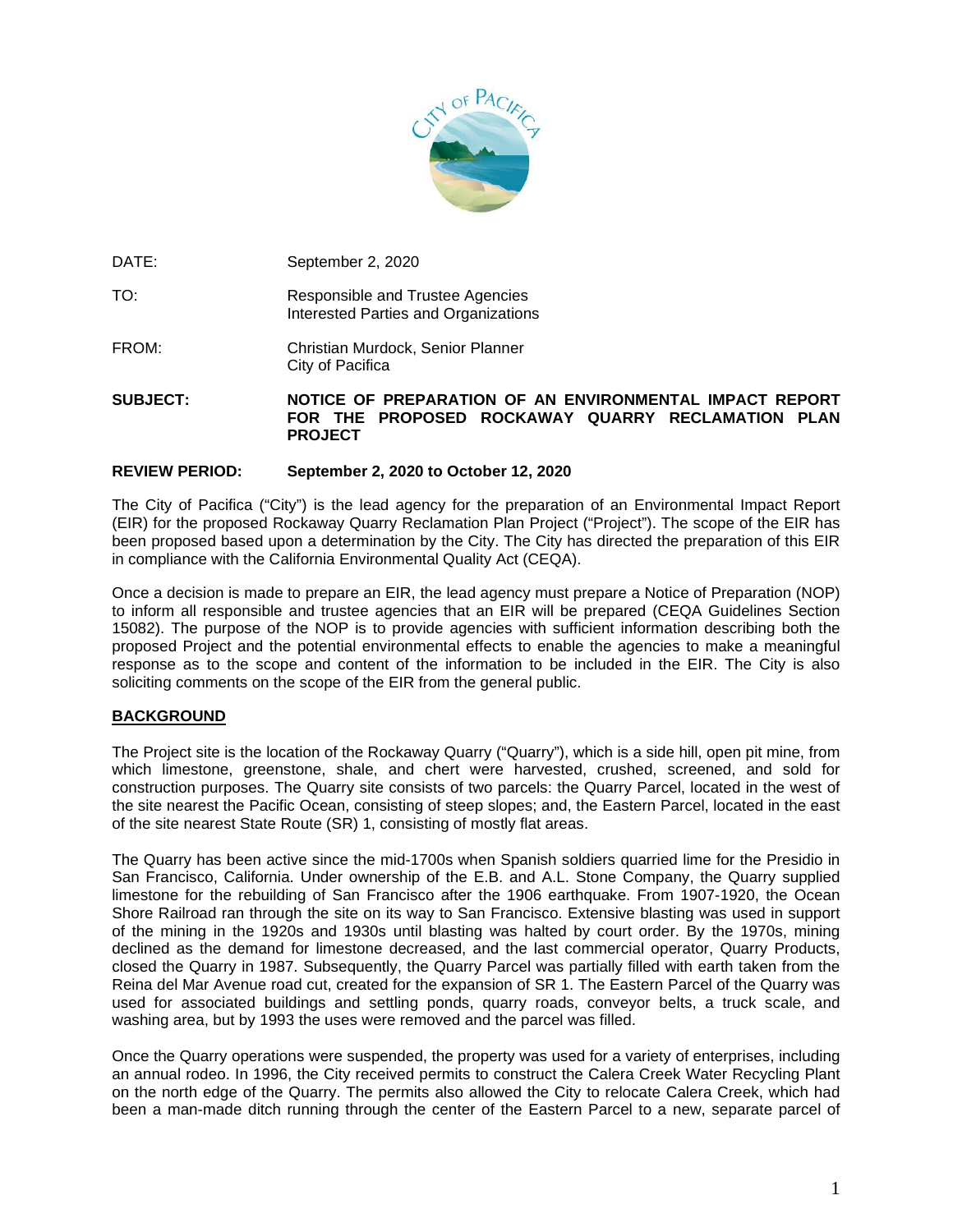

DATE: September 2, 2020

- TO: Responsible and Trustee Agencies Interested Parties and Organizations
- FROM: Christian Murdock, Senior Planner City of Pacifica

**SUBJECT: NOTICE OF PREPARATION OF AN ENVIRONMENTAL IMPACT REPORT FOR THE PROPOSED ROCKAWAY QUARRY RECLAMATION PLAN PROJECT**

# **REVIEW PERIOD: September 2, 2020 to October 12, 2020**

The City of Pacifica ("City") is the lead agency for the preparation of an Environmental Impact Report (EIR) for the proposed Rockaway Quarry Reclamation Plan Project ("Project"). The scope of the EIR has been proposed based upon a determination by the City. The City has directed the preparation of this EIR in compliance with the California Environmental Quality Act (CEQA).

Once a decision is made to prepare an EIR, the lead agency must prepare a Notice of Preparation (NOP) to inform all responsible and trustee agencies that an EIR will be prepared (CEQA Guidelines Section 15082). The purpose of the NOP is to provide agencies with sufficient information describing both the proposed Project and the potential environmental effects to enable the agencies to make a meaningful response as to the scope and content of the information to be included in the EIR. The City is also soliciting comments on the scope of the EIR from the general public.

# **BACKGROUND**

The Project site is the location of the Rockaway Quarry ("Quarry"), which is a side hill, open pit mine, from which limestone, greenstone, shale, and chert were harvested, crushed, screened, and sold for construction purposes. The Quarry site consists of two parcels: the Quarry Parcel, located in the west of the site nearest the Pacific Ocean, consisting of steep slopes; and, the Eastern Parcel, located in the east of the site nearest State Route (SR) 1, consisting of mostly flat areas.

The Quarry has been active since the mid-1700s when Spanish soldiers quarried lime for the Presidio in San Francisco, California. Under ownership of the E.B. and A.L. Stone Company, the Quarry supplied limestone for the rebuilding of San Francisco after the 1906 earthquake. From 1907-1920, the Ocean Shore Railroad ran through the site on its way to San Francisco. Extensive blasting was used in support of the mining in the 1920s and 1930s until blasting was halted by court order. By the 1970s, mining declined as the demand for limestone decreased, and the last commercial operator, Quarry Products, closed the Quarry in 1987. Subsequently, the Quarry Parcel was partially filled with earth taken from the Reina del Mar Avenue road cut, created for the expansion of SR 1. The Eastern Parcel of the Quarry was used for associated buildings and settling ponds, quarry roads, conveyor belts, a truck scale, and washing area, but by 1993 the uses were removed and the parcel was filled.

Once the Quarry operations were suspended, the property was used for a variety of enterprises, including an annual rodeo. In 1996, the City received permits to construct the Calera Creek Water Recycling Plant on the north edge of the Quarry. The permits also allowed the City to relocate Calera Creek, which had been a man-made ditch running through the center of the Eastern Parcel to a new, separate parcel of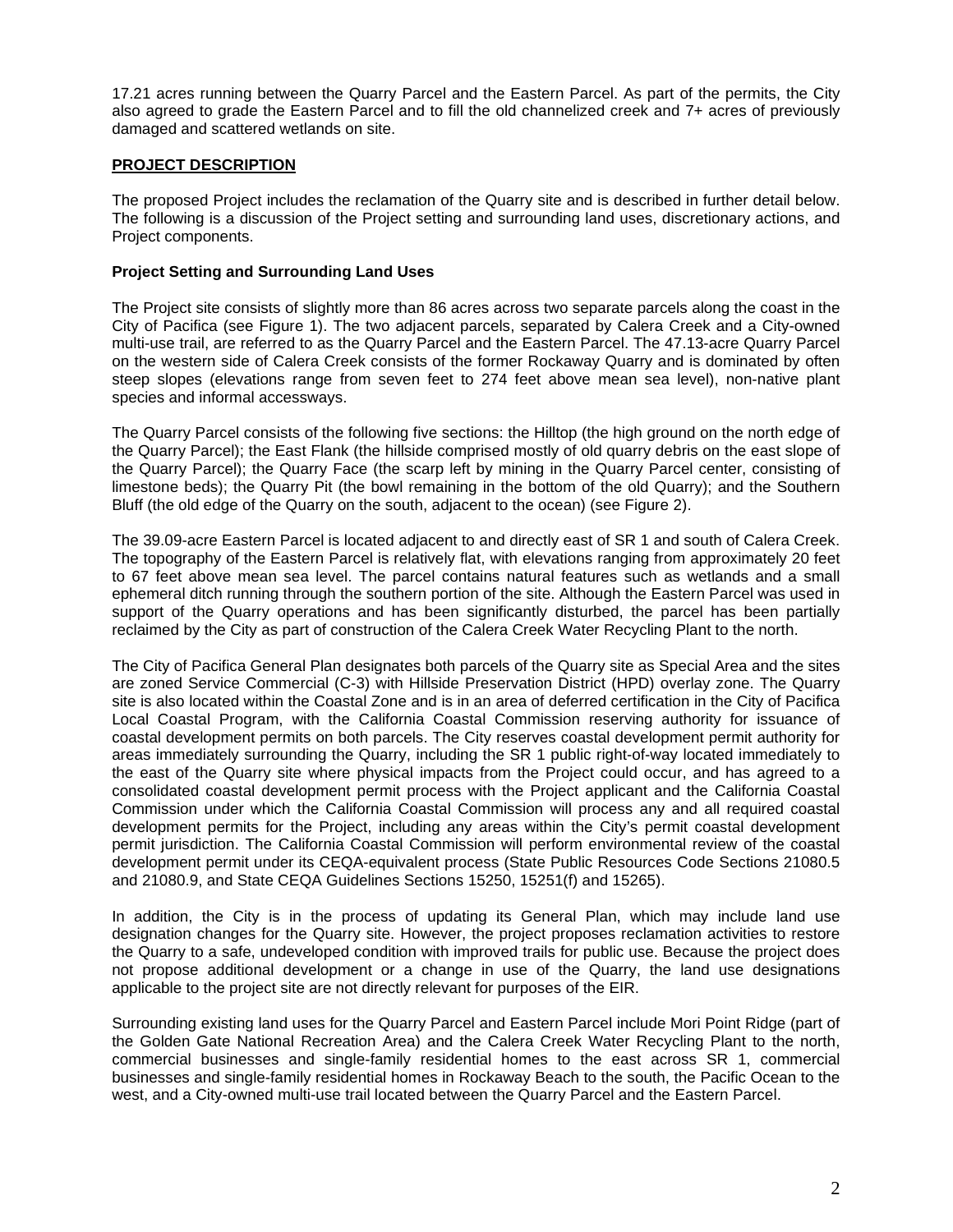17.21 acres running between the Quarry Parcel and the Eastern Parcel. As part of the permits, the City also agreed to grade the Eastern Parcel and to fill the old channelized creek and 7+ acres of previously damaged and scattered wetlands on site.

# **PROJECT DESCRIPTION**

The proposed Project includes the reclamation of the Quarry site and is described in further detail below. The following is a discussion of the Project setting and surrounding land uses, discretionary actions, and Project components.

# **Project Setting and Surrounding Land Uses**

The Project site consists of slightly more than 86 acres across two separate parcels along the coast in the City of Pacifica (see [Figure 1\)](#page-10-0). The two adjacent parcels, separated by Calera Creek and a City-owned multi-use trail, are referred to as the Quarry Parcel and the Eastern Parcel. The 47.13-acre Quarry Parcel on the western side of Calera Creek consists of the former Rockaway Quarry and is dominated by often steep slopes (elevations range from seven feet to 274 feet above mean sea level), non-native plant species and informal accessways.

The Quarry Parcel consists of the following five sections: the Hilltop (the high ground on the north edge of the Quarry Parcel); the East Flank (the hillside comprised mostly of old quarry debris on the east slope of the Quarry Parcel); the Quarry Face (the scarp left by mining in the Quarry Parcel center, consisting of limestone beds); the Quarry Pit (the bowl remaining in the bottom of the old Quarry); and the Southern Bluff (the old edge of the Quarry on the south, adjacent to the ocean) (see [Figure 2\)](#page-11-0).

The 39.09-acre Eastern Parcel is located adjacent to and directly east of SR 1 and south of Calera Creek. The topography of the Eastern Parcel is relatively flat, with elevations ranging from approximately 20 feet to 67 feet above mean sea level. The parcel contains natural features such as wetlands and a small ephemeral ditch running through the southern portion of the site. Although the Eastern Parcel was used in support of the Quarry operations and has been significantly disturbed, the parcel has been partially reclaimed by the City as part of construction of the Calera Creek Water Recycling Plant to the north.

The City of Pacifica General Plan designates both parcels of the Quarry site as Special Area and the sites are zoned Service Commercial (C-3) with Hillside Preservation District (HPD) overlay zone. The Quarry site is also located within the Coastal Zone and is in an area of deferred certification in the City of Pacifica Local Coastal Program, with the California Coastal Commission reserving authority for issuance of coastal development permits on both parcels. The City reserves coastal development permit authority for areas immediately surrounding the Quarry, including the SR 1 public right-of-way located immediately to the east of the Quarry site where physical impacts from the Project could occur, and has agreed to a consolidated coastal development permit process with the Project applicant and the California Coastal Commission under which the California Coastal Commission will process any and all required coastal development permits for the Project, including any areas within the City's permit coastal development permit jurisdiction. The California Coastal Commission will perform environmental review of the coastal development permit under its CEQA-equivalent process (State Public Resources Code Sections 21080.5 and 21080.9, and State CEQA Guidelines Sections 15250, 15251(f) and 15265).

In addition, the City is in the process of updating its General Plan, which may include land use designation changes for the Quarry site. However, the project proposes reclamation activities to restore the Quarry to a safe, undeveloped condition with improved trails for public use. Because the project does not propose additional development or a change in use of the Quarry, the land use designations applicable to the project site are not directly relevant for purposes of the EIR.

Surrounding existing land uses for the Quarry Parcel and Eastern Parcel include Mori Point Ridge (part of the Golden Gate National Recreation Area) and the Calera Creek Water Recycling Plant to the north, commercial businesses and single-family residential homes to the east across SR 1, commercial businesses and single-family residential homes in Rockaway Beach to the south, the Pacific Ocean to the west, and a City-owned multi-use trail located between the Quarry Parcel and the Eastern Parcel.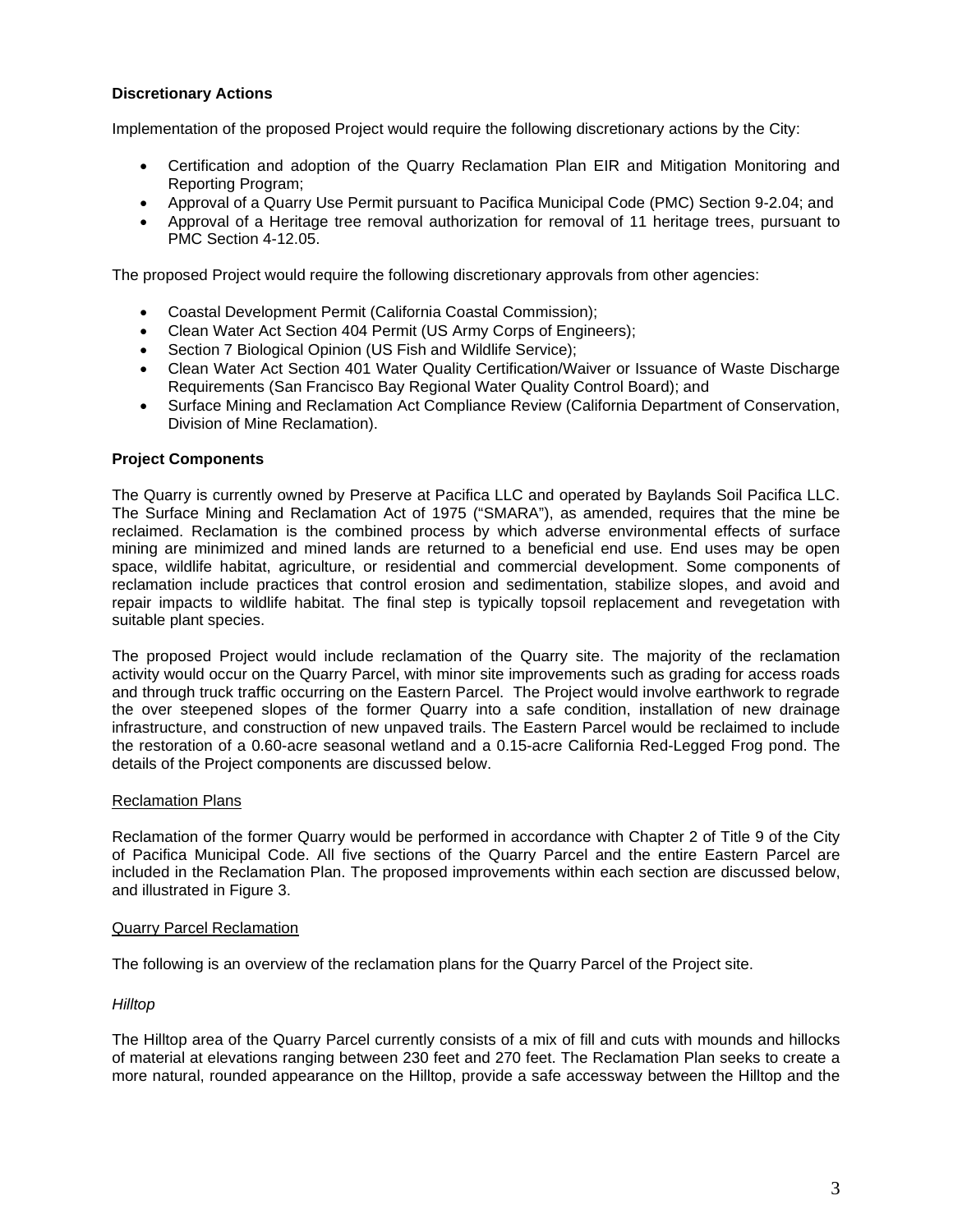# **Discretionary Actions**

Implementation of the proposed Project would require the following discretionary actions by the City:

- Certification and adoption of the Quarry Reclamation Plan EIR and Mitigation Monitoring and Reporting Program;
- Approval of a Quarry Use Permit pursuant to Pacifica Municipal Code (PMC) Section 9-2.04; and
- Approval of a Heritage tree removal authorization for removal of 11 heritage trees, pursuant to PMC Section 4-12.05.

The proposed Project would require the following discretionary approvals from other agencies:

- Coastal Development Permit (California Coastal Commission);
- Clean Water Act Section 404 Permit (US Army Corps of Engineers);
- Section 7 Biological Opinion (US Fish and Wildlife Service);
- Clean Water Act Section 401 Water Quality Certification/Waiver or Issuance of Waste Discharge Requirements (San Francisco Bay Regional Water Quality Control Board); and
- Surface Mining and Reclamation Act Compliance Review (California Department of Conservation, Division of Mine Reclamation).

#### **Project Components**

The Quarry is currently owned by Preserve at Pacifica LLC and operated by Baylands Soil Pacifica LLC. The Surface Mining and Reclamation Act of 1975 ("SMARA"), as amended, requires that the mine be reclaimed. Reclamation is the combined process by which adverse environmental effects of surface mining are minimized and mined lands are returned to a beneficial end use. End uses may be open space, wildlife habitat, agriculture, or residential and commercial development. Some components of reclamation include practices that control erosion and sedimentation, stabilize slopes, and avoid and repair impacts to wildlife habitat. The final step is typically topsoil replacement and revegetation with suitable plant species.

The proposed Project would include reclamation of the Quarry site. The majority of the reclamation activity would occur on the Quarry Parcel, with minor site improvements such as grading for access roads and through truck traffic occurring on the Eastern Parcel. The Project would involve earthwork to regrade the over steepened slopes of the former Quarry into a safe condition, installation of new drainage infrastructure, and construction of new unpaved trails. The Eastern Parcel would be reclaimed to include the restoration of a 0.60-acre seasonal wetland and a 0.15-acre California Red-Legged Frog pond. The details of the Project components are discussed below.

#### Reclamation Plans

Reclamation of the former Quarry would be performed in accordance with Chapter 2 of Title 9 of the City of Pacifica Municipal Code. All five sections of the Quarry Parcel and the entire Eastern Parcel are included in the Reclamation Plan. The proposed improvements within each section are discussed below, and illustrated in Figure 3.

#### Quarry Parcel Reclamation

The following is an overview of the reclamation plans for the Quarry Parcel of the Project site.

#### *Hilltop*

The Hilltop area of the Quarry Parcel currently consists of a mix of fill and cuts with mounds and hillocks of material at elevations ranging between 230 feet and 270 feet. The Reclamation Plan seeks to create a more natural, rounded appearance on the Hilltop, provide a safe accessway between the Hilltop and the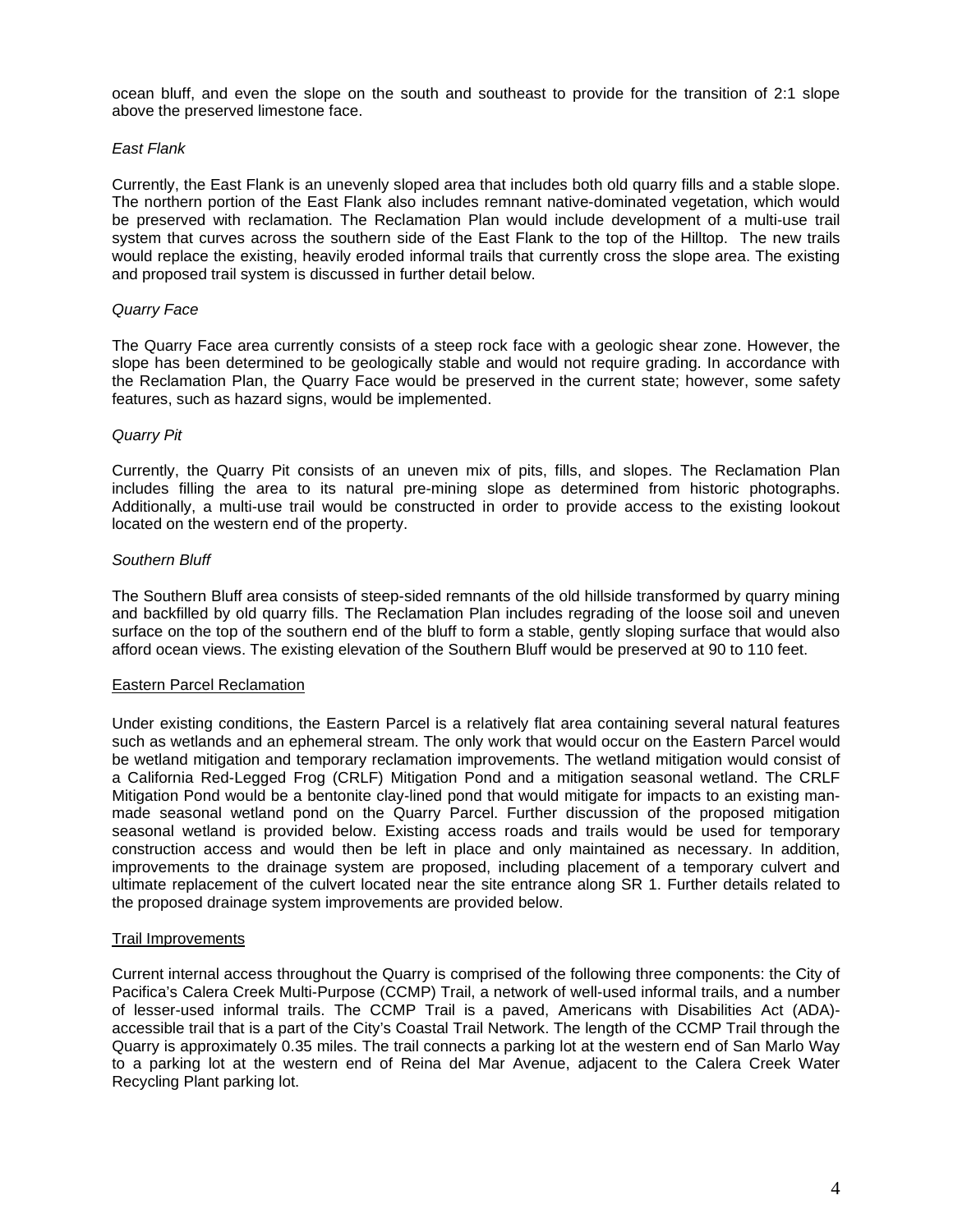ocean bluff, and even the slope on the south and southeast to provide for the transition of 2:1 slope above the preserved limestone face.

# *East Flank*

Currently, the East Flank is an unevenly sloped area that includes both old quarry fills and a stable slope. The northern portion of the East Flank also includes remnant native-dominated vegetation, which would be preserved with reclamation. The Reclamation Plan would include development of a multi-use trail system that curves across the southern side of the East Flank to the top of the Hilltop. The new trails would replace the existing, heavily eroded informal trails that currently cross the slope area. The existing and proposed trail system is discussed in further detail below.

# *Quarry Face*

The Quarry Face area currently consists of a steep rock face with a geologic shear zone. However, the slope has been determined to be geologically stable and would not require grading. In accordance with the Reclamation Plan, the Quarry Face would be preserved in the current state; however, some safety features, such as hazard signs, would be implemented.

# *Quarry Pit*

Currently, the Quarry Pit consists of an uneven mix of pits, fills, and slopes. The Reclamation Plan includes filling the area to its natural pre-mining slope as determined from historic photographs. Additionally, a multi-use trail would be constructed in order to provide access to the existing lookout located on the western end of the property.

# *Southern Bluff*

The Southern Bluff area consists of steep-sided remnants of the old hillside transformed by quarry mining and backfilled by old quarry fills. The Reclamation Plan includes regrading of the loose soil and uneven surface on the top of the southern end of the bluff to form a stable, gently sloping surface that would also afford ocean views. The existing elevation of the Southern Bluff would be preserved at 90 to 110 feet.

#### Eastern Parcel Reclamation

Under existing conditions, the Eastern Parcel is a relatively flat area containing several natural features such as wetlands and an ephemeral stream. The only work that would occur on the Eastern Parcel would be wetland mitigation and temporary reclamation improvements. The wetland mitigation would consist of a California Red-Legged Frog (CRLF) Mitigation Pond and a mitigation seasonal wetland. The CRLF Mitigation Pond would be a bentonite clay-lined pond that would mitigate for impacts to an existing manmade seasonal wetland pond on the Quarry Parcel. Further discussion of the proposed mitigation seasonal wetland is provided below. Existing access roads and trails would be used for temporary construction access and would then be left in place and only maintained as necessary. In addition, improvements to the drainage system are proposed, including placement of a temporary culvert and ultimate replacement of the culvert located near the site entrance along SR 1. Further details related to the proposed drainage system improvements are provided below.

#### Trail Improvements

Current internal access throughout the Quarry is comprised of the following three components: the City of Pacifica's Calera Creek Multi-Purpose (CCMP) Trail, a network of well-used informal trails, and a number of lesser-used informal trails. The CCMP Trail is a paved, Americans with Disabilities Act (ADA) accessible trail that is a part of the City's Coastal Trail Network. The length of the CCMP Trail through the Quarry is approximately 0.35 miles. The trail connects a parking lot at the western end of San Marlo Way to a parking lot at the western end of Reina del Mar Avenue, adjacent to the Calera Creek Water Recycling Plant parking lot.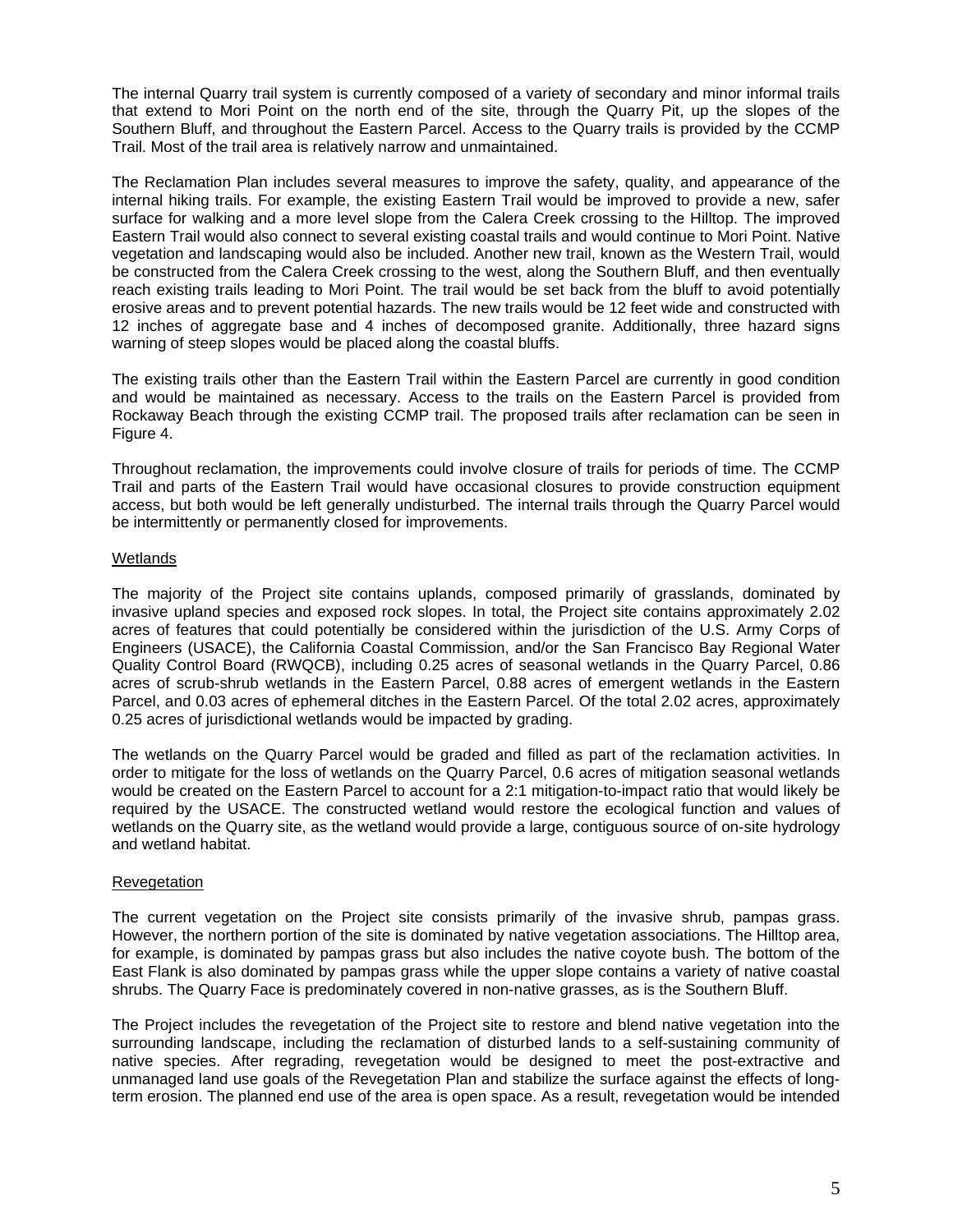The internal Quarry trail system is currently composed of a variety of secondary and minor informal trails that extend to Mori Point on the north end of the site, through the Quarry Pit, up the slopes of the Southern Bluff, and throughout the Eastern Parcel. Access to the Quarry trails is provided by the CCMP Trail. Most of the trail area is relatively narrow and unmaintained.

The Reclamation Plan includes several measures to improve the safety, quality, and appearance of the internal hiking trails. For example, the existing Eastern Trail would be improved to provide a new, safer surface for walking and a more level slope from the Calera Creek crossing to the Hilltop. The improved Eastern Trail would also connect to several existing coastal trails and would continue to Mori Point. Native vegetation and landscaping would also be included. Another new trail, known as the Western Trail, would be constructed from the Calera Creek crossing to the west, along the Southern Bluff, and then eventually reach existing trails leading to Mori Point. The trail would be set back from the bluff to avoid potentially erosive areas and to prevent potential hazards. The new trails would be 12 feet wide and constructed with 12 inches of aggregate base and 4 inches of decomposed granite. Additionally, three hazard signs warning of steep slopes would be placed along the coastal bluffs.

The existing trails other than the Eastern Trail within the Eastern Parcel are currently in good condition and would be maintained as necessary. Access to the trails on the Eastern Parcel is provided from Rockaway Beach through the existing CCMP trail. The proposed trails after reclamation can be seen in Figure 4.

Throughout reclamation, the improvements could involve closure of trails for periods of time. The CCMP Trail and parts of the Eastern Trail would have occasional closures to provide construction equipment access, but both would be left generally undisturbed. The internal trails through the Quarry Parcel would be intermittently or permanently closed for improvements.

# Wetlands

The majority of the Project site contains uplands, composed primarily of grasslands, dominated by invasive upland species and exposed rock slopes. In total, the Project site contains approximately 2.02 acres of features that could potentially be considered within the jurisdiction of the U.S. Army Corps of Engineers (USACE), the California Coastal Commission, and/or the San Francisco Bay Regional Water Quality Control Board (RWQCB), including 0.25 acres of seasonal wetlands in the Quarry Parcel, 0.86 acres of scrub-shrub wetlands in the Eastern Parcel, 0.88 acres of emergent wetlands in the Eastern Parcel, and 0.03 acres of ephemeral ditches in the Eastern Parcel. Of the total 2.02 acres, approximately 0.25 acres of jurisdictional wetlands would be impacted by grading.

The wetlands on the Quarry Parcel would be graded and filled as part of the reclamation activities. In order to mitigate for the loss of wetlands on the Quarry Parcel, 0.6 acres of mitigation seasonal wetlands would be created on the Eastern Parcel to account for a 2:1 mitigation-to-impact ratio that would likely be required by the USACE. The constructed wetland would restore the ecological function and values of wetlands on the Quarry site, as the wetland would provide a large, contiguous source of on-site hydrology and wetland habitat.

# Revegetation

The current vegetation on the Project site consists primarily of the invasive shrub, pampas grass. However, the northern portion of the site is dominated by native vegetation associations. The Hilltop area, for example, is dominated by pampas grass but also includes the native coyote bush. The bottom of the East Flank is also dominated by pampas grass while the upper slope contains a variety of native coastal shrubs. The Quarry Face is predominately covered in non-native grasses, as is the Southern Bluff.

The Project includes the revegetation of the Project site to restore and blend native vegetation into the surrounding landscape, including the reclamation of disturbed lands to a self-sustaining community of native species. After regrading, revegetation would be designed to meet the post-extractive and unmanaged land use goals of the Revegetation Plan and stabilize the surface against the effects of longterm erosion. The planned end use of the area is open space. As a result, revegetation would be intended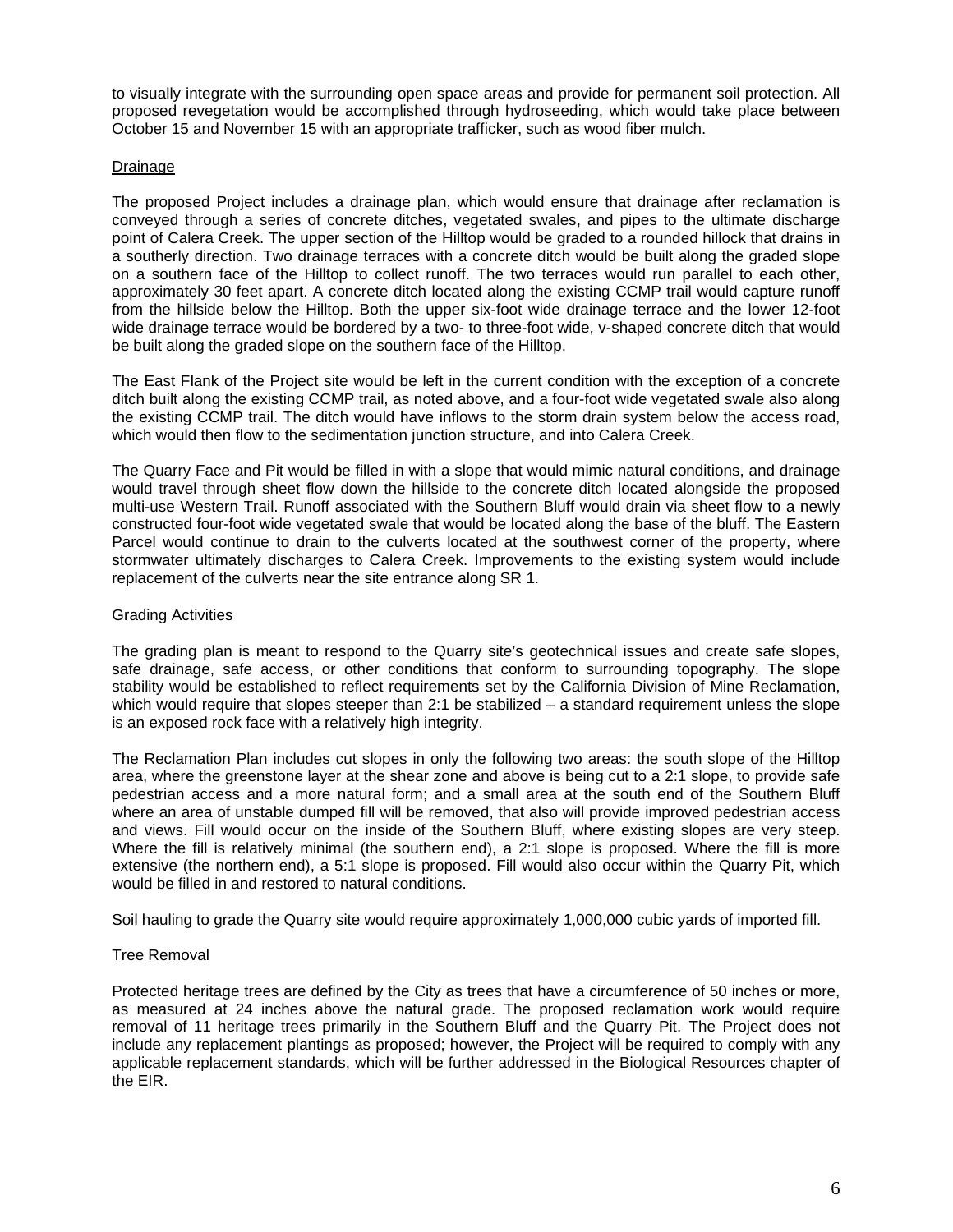to visually integrate with the surrounding open space areas and provide for permanent soil protection. All proposed revegetation would be accomplished through hydroseeding, which would take place between October 15 and November 15 with an appropriate trafficker, such as wood fiber mulch.

### Drainage

The proposed Project includes a drainage plan, which would ensure that drainage after reclamation is conveyed through a series of concrete ditches, vegetated swales, and pipes to the ultimate discharge point of Calera Creek. The upper section of the Hilltop would be graded to a rounded hillock that drains in a southerly direction. Two drainage terraces with a concrete ditch would be built along the graded slope on a southern face of the Hilltop to collect runoff. The two terraces would run parallel to each other, approximately 30 feet apart. A concrete ditch located along the existing CCMP trail would capture runoff from the hillside below the Hilltop. Both the upper six-foot wide drainage terrace and the lower 12-foot wide drainage terrace would be bordered by a two- to three-foot wide, v-shaped concrete ditch that would be built along the graded slope on the southern face of the Hilltop.

The East Flank of the Project site would be left in the current condition with the exception of a concrete ditch built along the existing CCMP trail, as noted above, and a four-foot wide vegetated swale also along the existing CCMP trail. The ditch would have inflows to the storm drain system below the access road, which would then flow to the sedimentation junction structure, and into Calera Creek.

The Quarry Face and Pit would be filled in with a slope that would mimic natural conditions, and drainage would travel through sheet flow down the hillside to the concrete ditch located alongside the proposed multi-use Western Trail. Runoff associated with the Southern Bluff would drain via sheet flow to a newly constructed four-foot wide vegetated swale that would be located along the base of the bluff. The Eastern Parcel would continue to drain to the culverts located at the southwest corner of the property, where stormwater ultimately discharges to Calera Creek. Improvements to the existing system would include replacement of the culverts near the site entrance along SR 1.

### Grading Activities

The grading plan is meant to respond to the Quarry site's geotechnical issues and create safe slopes, safe drainage, safe access, or other conditions that conform to surrounding topography. The slope stability would be established to reflect requirements set by the California Division of Mine Reclamation, which would require that slopes steeper than 2:1 be stabilized – a standard requirement unless the slope is an exposed rock face with a relatively high integrity.

The Reclamation Plan includes cut slopes in only the following two areas: the south slope of the Hilltop area, where the greenstone layer at the shear zone and above is being cut to a 2:1 slope, to provide safe pedestrian access and a more natural form; and a small area at the south end of the Southern Bluff where an area of unstable dumped fill will be removed, that also will provide improved pedestrian access and views. Fill would occur on the inside of the Southern Bluff, where existing slopes are very steep. Where the fill is relatively minimal (the southern end), a 2:1 slope is proposed. Where the fill is more extensive (the northern end), a 5:1 slope is proposed. Fill would also occur within the Quarry Pit, which would be filled in and restored to natural conditions.

Soil hauling to grade the Quarry site would require approximately 1,000,000 cubic yards of imported fill.

#### Tree Removal

Protected heritage trees are defined by the City as trees that have a circumference of 50 inches or more, as measured at 24 inches above the natural grade. The proposed reclamation work would require removal of 11 heritage trees primarily in the Southern Bluff and the Quarry Pit. The Project does not include any replacement plantings as proposed; however, the Project will be required to comply with any applicable replacement standards, which will be further addressed in the Biological Resources chapter of the EIR.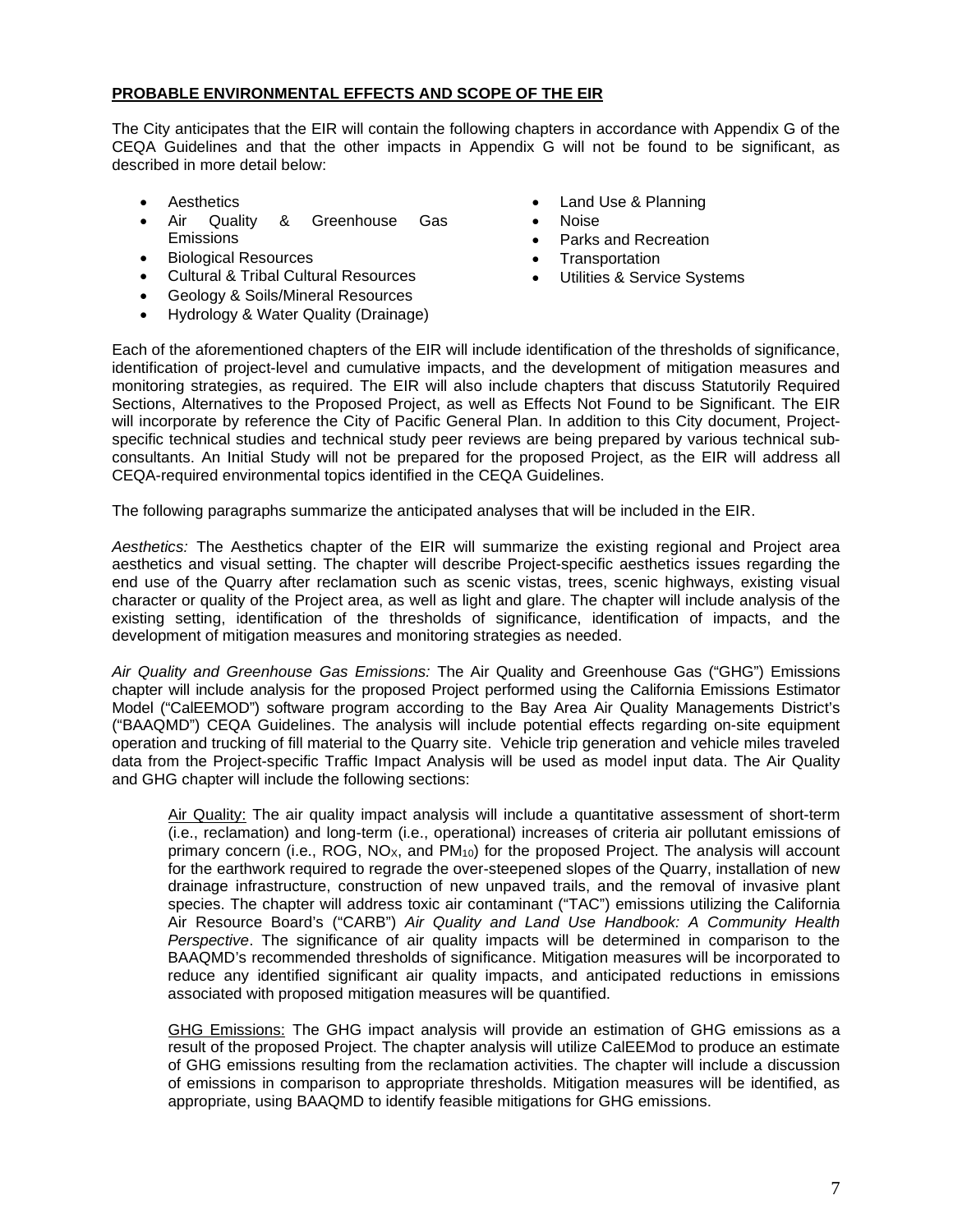# **PROBABLE ENVIRONMENTAL EFFECTS AND SCOPE OF THE EIR**

The City anticipates that the EIR will contain the following chapters in accordance with Appendix G of the CEQA Guidelines and that the other impacts in Appendix G will not be found to be significant, as described in more detail below:

- **Aesthetics**
- Air Quality & Greenhouse Gas Emissions
- Biological Resources
- Cultural & Tribal Cultural Resources
- Geology & Soils/Mineral Resources
- Hydrology & Water Quality (Drainage)
- Land Use & Planning
- Noise
- Parks and Recreation
- **Transportation**
- Utilities & Service Systems

Each of the aforementioned chapters of the EIR will include identification of the thresholds of significance, identification of project-level and cumulative impacts, and the development of mitigation measures and monitoring strategies, as required. The EIR will also include chapters that discuss Statutorily Required Sections, Alternatives to the Proposed Project, as well as Effects Not Found to be Significant. The EIR will incorporate by reference the City of Pacific General Plan. In addition to this City document, Projectspecific technical studies and technical study peer reviews are being prepared by various technical subconsultants. An Initial Study will not be prepared for the proposed Project, as the EIR will address all CEQA-required environmental topics identified in the CEQA Guidelines.

The following paragraphs summarize the anticipated analyses that will be included in the EIR.

*Aesthetics:* The Aesthetics chapter of the EIR will summarize the existing regional and Project area aesthetics and visual setting. The chapter will describe Project-specific aesthetics issues regarding the end use of the Quarry after reclamation such as scenic vistas, trees, scenic highways, existing visual character or quality of the Project area, as well as light and glare. The chapter will include analysis of the existing setting, identification of the thresholds of significance, identification of impacts, and the development of mitigation measures and monitoring strategies as needed.

*Air Quality and Greenhouse Gas Emissions:* The Air Quality and Greenhouse Gas ("GHG") Emissions chapter will include analysis for the proposed Project performed using the California Emissions Estimator Model ("CalEEMOD") software program according to the Bay Area Air Quality Managements District's ("BAAQMD") CEQA Guidelines. The analysis will include potential effects regarding on-site equipment operation and trucking of fill material to the Quarry site. Vehicle trip generation and vehicle miles traveled data from the Project-specific Traffic Impact Analysis will be used as model input data. The Air Quality and GHG chapter will include the following sections:

Air Quality: The air quality impact analysis will include a quantitative assessment of short-term (i.e., reclamation) and long-term (i.e., operational) increases of criteria air pollutant emissions of primary concern (i.e., ROG, NOX, and PM10) for the proposed Project. The analysis will account for the earthwork required to regrade the over-steepened slopes of the Quarry, installation of new drainage infrastructure, construction of new unpaved trails, and the removal of invasive plant species. The chapter will address toxic air contaminant ("TAC") emissions utilizing the California Air Resource Board's ("CARB") *Air Quality and Land Use Handbook: A Community Health Perspective*. The significance of air quality impacts will be determined in comparison to the BAAQMD's recommended thresholds of significance. Mitigation measures will be incorporated to reduce any identified significant air quality impacts, and anticipated reductions in emissions associated with proposed mitigation measures will be quantified.

GHG Emissions: The GHG impact analysis will provide an estimation of GHG emissions as a result of the proposed Project. The chapter analysis will utilize CalEEMod to produce an estimate of GHG emissions resulting from the reclamation activities. The chapter will include a discussion of emissions in comparison to appropriate thresholds. Mitigation measures will be identified, as appropriate, using BAAQMD to identify feasible mitigations for GHG emissions.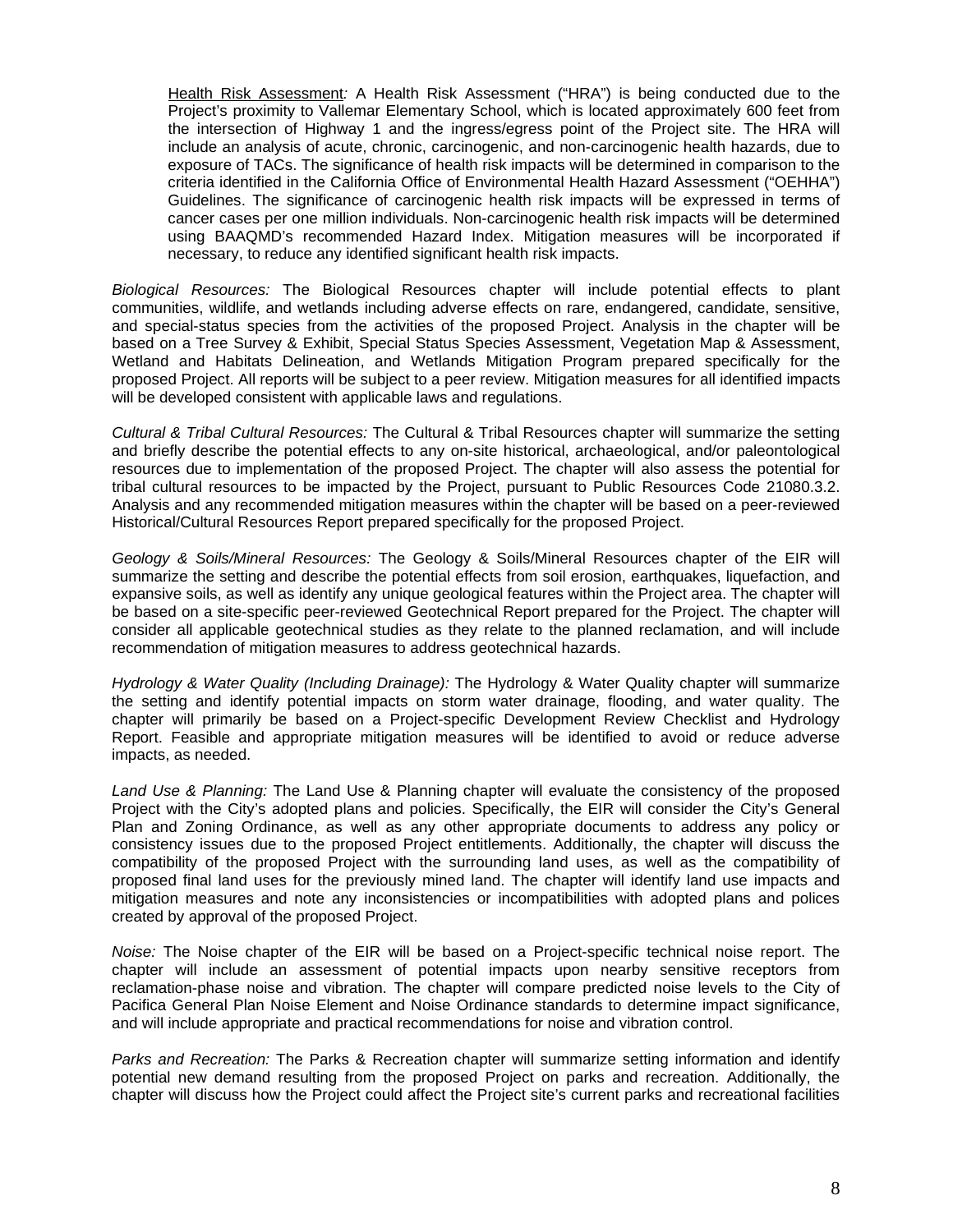Health Risk Assessment*:* A Health Risk Assessment ("HRA") is being conducted due to the Project's proximity to Vallemar Elementary School, which is located approximately 600 feet from the intersection of Highway 1 and the ingress/egress point of the Project site. The HRA will include an analysis of acute, chronic, carcinogenic, and non-carcinogenic health hazards, due to exposure of TACs. The significance of health risk impacts will be determined in comparison to the criteria identified in the California Office of Environmental Health Hazard Assessment ("OEHHA") Guidelines. The significance of carcinogenic health risk impacts will be expressed in terms of cancer cases per one million individuals. Non-carcinogenic health risk impacts will be determined using BAAQMD's recommended Hazard Index. Mitigation measures will be incorporated if necessary, to reduce any identified significant health risk impacts.

*Biological Resources:* The Biological Resources chapter will include potential effects to plant communities, wildlife, and wetlands including adverse effects on rare, endangered, candidate, sensitive, and special-status species from the activities of the proposed Project. Analysis in the chapter will be based on a Tree Survey & Exhibit, Special Status Species Assessment, Vegetation Map & Assessment, Wetland and Habitats Delineation, and Wetlands Mitigation Program prepared specifically for the proposed Project. All reports will be subject to a peer review. Mitigation measures for all identified impacts will be developed consistent with applicable laws and regulations.

*Cultural & Tribal Cultural Resources:* The Cultural & Tribal Resources chapter will summarize the setting and briefly describe the potential effects to any on-site historical, archaeological, and/or paleontological resources due to implementation of the proposed Project. The chapter will also assess the potential for tribal cultural resources to be impacted by the Project, pursuant to Public Resources Code 21080.3.2. Analysis and any recommended mitigation measures within the chapter will be based on a peer-reviewed Historical/Cultural Resources Report prepared specifically for the proposed Project.

*Geology & Soils/Mineral Resources:* The Geology & Soils/Mineral Resources chapter of the EIR will summarize the setting and describe the potential effects from soil erosion, earthquakes, liquefaction, and expansive soils, as well as identify any unique geological features within the Project area. The chapter will be based on a site-specific peer-reviewed Geotechnical Report prepared for the Project. The chapter will consider all applicable geotechnical studies as they relate to the planned reclamation, and will include recommendation of mitigation measures to address geotechnical hazards.

*Hydrology & Water Quality (Including Drainage):* The Hydrology & Water Quality chapter will summarize the setting and identify potential impacts on storm water drainage, flooding, and water quality. The chapter will primarily be based on a Project-specific Development Review Checklist and Hydrology Report. Feasible and appropriate mitigation measures will be identified to avoid or reduce adverse impacts, as needed.

*Land Use & Planning:* The Land Use & Planning chapter will evaluate the consistency of the proposed Project with the City's adopted plans and policies. Specifically, the EIR will consider the City's General Plan and Zoning Ordinance, as well as any other appropriate documents to address any policy or consistency issues due to the proposed Project entitlements. Additionally, the chapter will discuss the compatibility of the proposed Project with the surrounding land uses, as well as the compatibility of proposed final land uses for the previously mined land. The chapter will identify land use impacts and mitigation measures and note any inconsistencies or incompatibilities with adopted plans and polices created by approval of the proposed Project.

*Noise:* The Noise chapter of the EIR will be based on a Project-specific technical noise report. The chapter will include an assessment of potential impacts upon nearby sensitive receptors from reclamation-phase noise and vibration. The chapter will compare predicted noise levels to the City of Pacifica General Plan Noise Element and Noise Ordinance standards to determine impact significance, and will include appropriate and practical recommendations for noise and vibration control.

*Parks and Recreation:* The Parks & Recreation chapter will summarize setting information and identify potential new demand resulting from the proposed Project on parks and recreation. Additionally, the chapter will discuss how the Project could affect the Project site's current parks and recreational facilities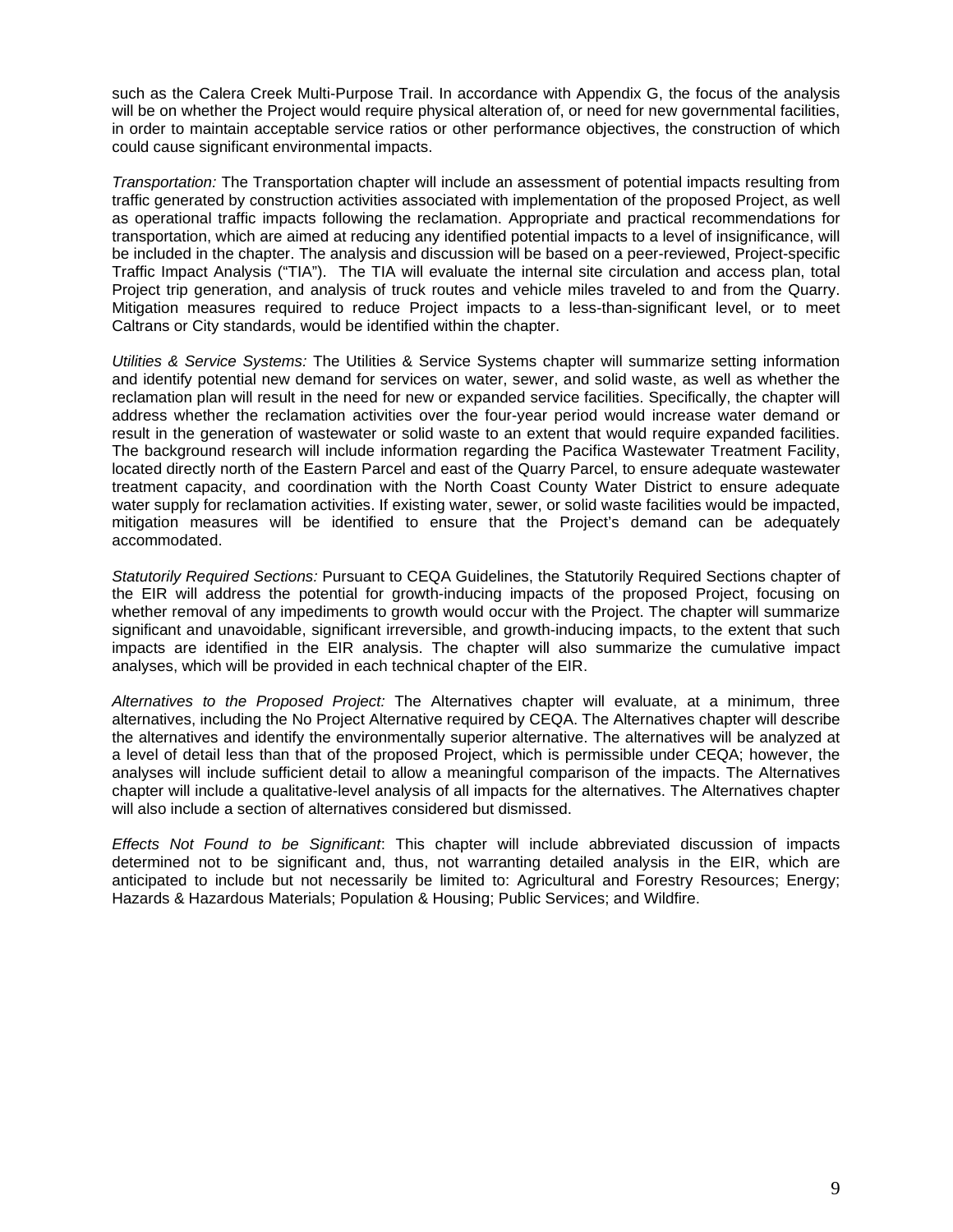such as the Calera Creek Multi-Purpose Trail. In accordance with Appendix G, the focus of the analysis will be on whether the Project would require physical alteration of, or need for new governmental facilities, in order to maintain acceptable service ratios or other performance objectives, the construction of which could cause significant environmental impacts.

*Transportation:* The Transportation chapter will include an assessment of potential impacts resulting from traffic generated by construction activities associated with implementation of the proposed Project, as well as operational traffic impacts following the reclamation. Appropriate and practical recommendations for transportation, which are aimed at reducing any identified potential impacts to a level of insignificance, will be included in the chapter. The analysis and discussion will be based on a peer-reviewed, Project-specific Traffic Impact Analysis ("TIA"). The TIA will evaluate the internal site circulation and access plan, total Project trip generation, and analysis of truck routes and vehicle miles traveled to and from the Quarry. Mitigation measures required to reduce Project impacts to a less-than-significant level, or to meet Caltrans or City standards, would be identified within the chapter.

*Utilities & Service Systems:* The Utilities & Service Systems chapter will summarize setting information and identify potential new demand for services on water, sewer, and solid waste, as well as whether the reclamation plan will result in the need for new or expanded service facilities. Specifically, the chapter will address whether the reclamation activities over the four-year period would increase water demand or result in the generation of wastewater or solid waste to an extent that would require expanded facilities. The background research will include information regarding the Pacifica Wastewater Treatment Facility, located directly north of the Eastern Parcel and east of the Quarry Parcel, to ensure adequate wastewater treatment capacity, and coordination with the North Coast County Water District to ensure adequate water supply for reclamation activities. If existing water, sewer, or solid waste facilities would be impacted, mitigation measures will be identified to ensure that the Project's demand can be adequately accommodated.

*Statutorily Required Sections:* Pursuant to CEQA Guidelines, the Statutorily Required Sections chapter of the EIR will address the potential for growth-inducing impacts of the proposed Project, focusing on whether removal of any impediments to growth would occur with the Project. The chapter will summarize significant and unavoidable, significant irreversible, and growth-inducing impacts, to the extent that such impacts are identified in the EIR analysis. The chapter will also summarize the cumulative impact analyses, which will be provided in each technical chapter of the EIR.

*Alternatives to the Proposed Project:* The Alternatives chapter will evaluate, at a minimum, three alternatives, including the No Project Alternative required by CEQA. The Alternatives chapter will describe the alternatives and identify the environmentally superior alternative. The alternatives will be analyzed at a level of detail less than that of the proposed Project, which is permissible under CEQA; however, the analyses will include sufficient detail to allow a meaningful comparison of the impacts. The Alternatives chapter will include a qualitative-level analysis of all impacts for the alternatives. The Alternatives chapter will also include a section of alternatives considered but dismissed.

*Effects Not Found to be Significant*: This chapter will include abbreviated discussion of impacts determined not to be significant and, thus, not warranting detailed analysis in the EIR, which are anticipated to include but not necessarily be limited to: Agricultural and Forestry Resources; Energy; Hazards & Hazardous Materials; Population & Housing; Public Services; and Wildfire.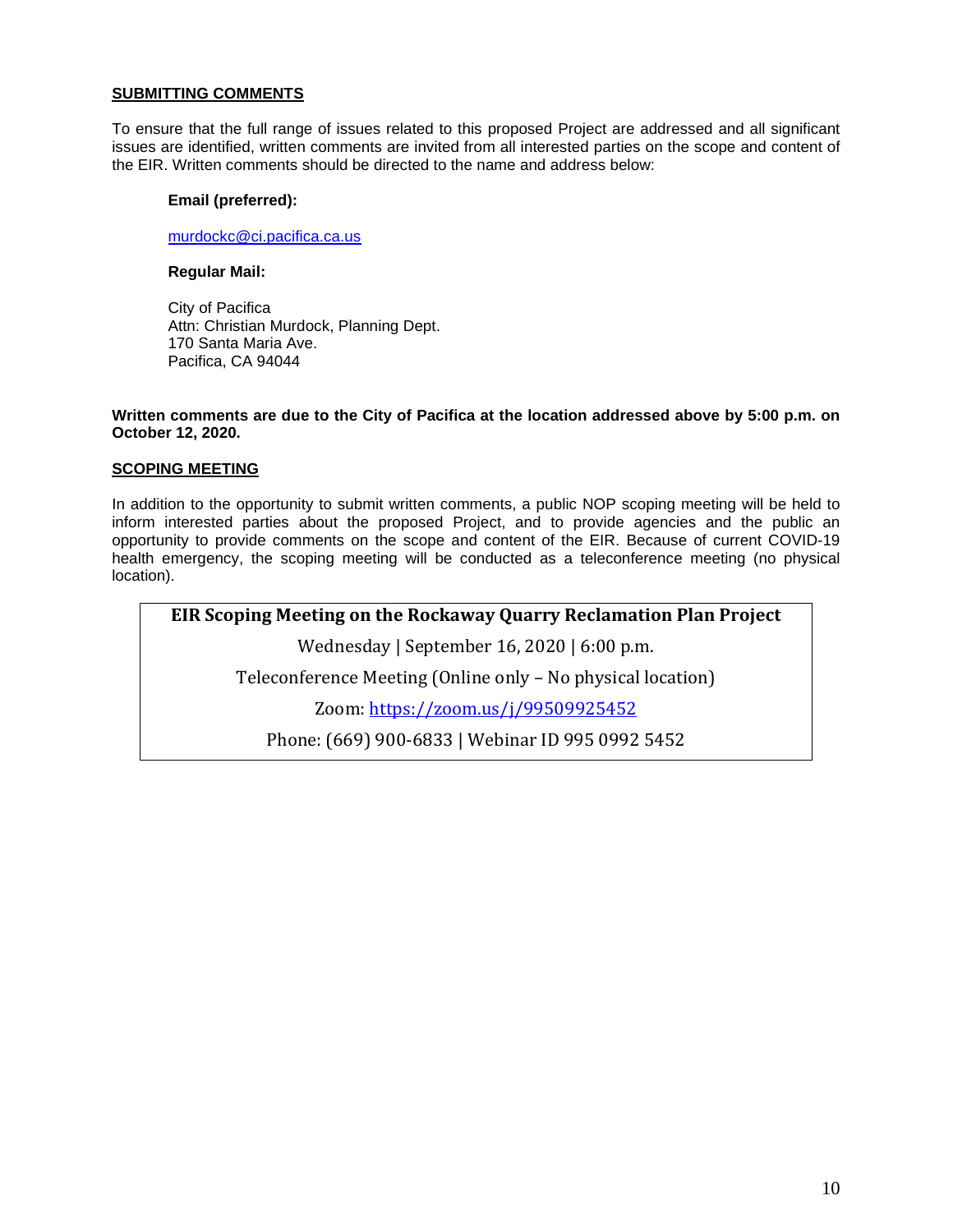# **SUBMITTING COMMENTS**

To ensure that the full range of issues related to this proposed Project are addressed and all significant issues are identified, written comments are invited from all interested parties on the scope and content of the EIR. Written comments should be directed to the name and address below:

#### **Email (preferred):**

[murdockc@ci.pacifica.ca.us](mailto:murdockc@ci.pacifica.ca.us)

### **Regular Mail:**

City of Pacifica Attn: Christian Murdock, Planning Dept. 170 Santa Maria Ave. Pacifica, CA 94044

#### **Written comments are due to the City of Pacifica at the location addressed above by 5:00 p.m. on October 12, 2020.**

# **SCOPING MEETING**

In addition to the opportunity to submit written comments, a public NOP scoping meeting will be held to inform interested parties about the proposed Project, and to provide agencies and the public an opportunity to provide comments on the scope and content of the EIR. Because of current COVID-19 health emergency, the scoping meeting will be conducted as a teleconference meeting (no physical location).

# **EIR Scoping Meeting on the Rockaway Quarry Reclamation Plan Project**

Wednesday | September 16, 2020 | 6:00 p.m.

Teleconference Meeting (Online only – No physical location)

Zoom:<https://zoom.us/j/99509925452>

Phone: (669) 900-6833 | Webinar ID 995 0992 5452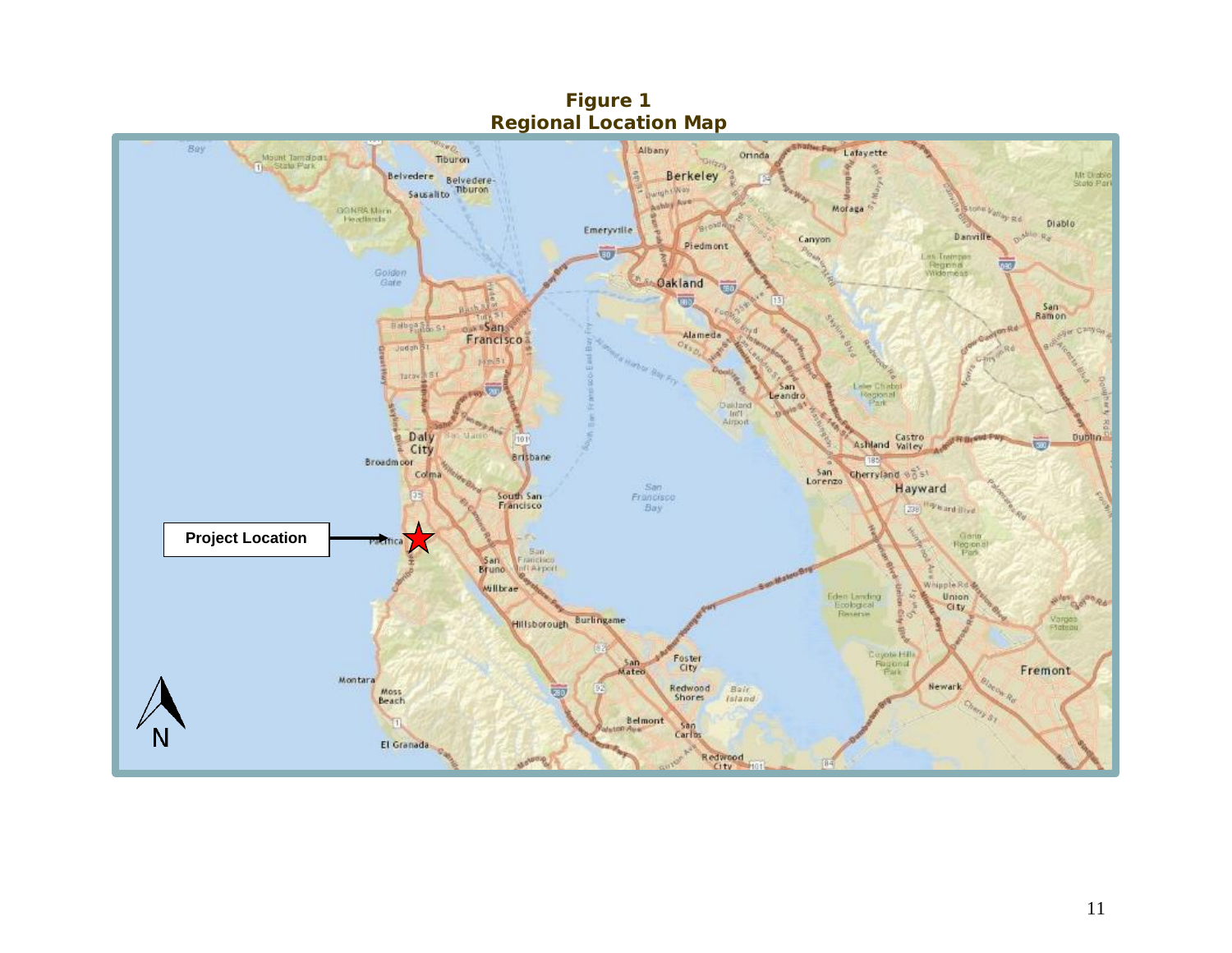<span id="page-10-0"></span>

**Figure 1 Regional Location Map**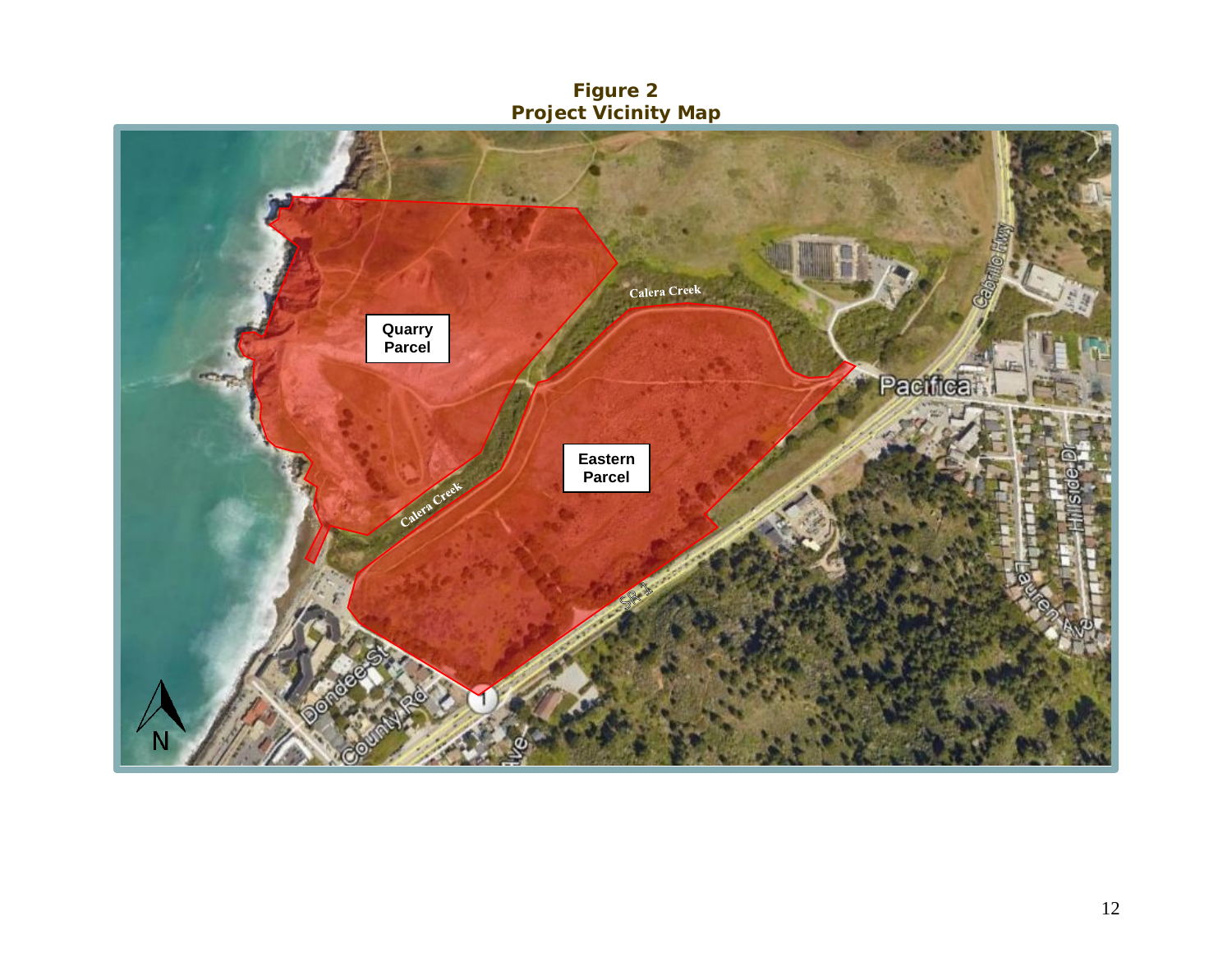<span id="page-11-0"></span>**Figure 2 Project Vicinity Map**

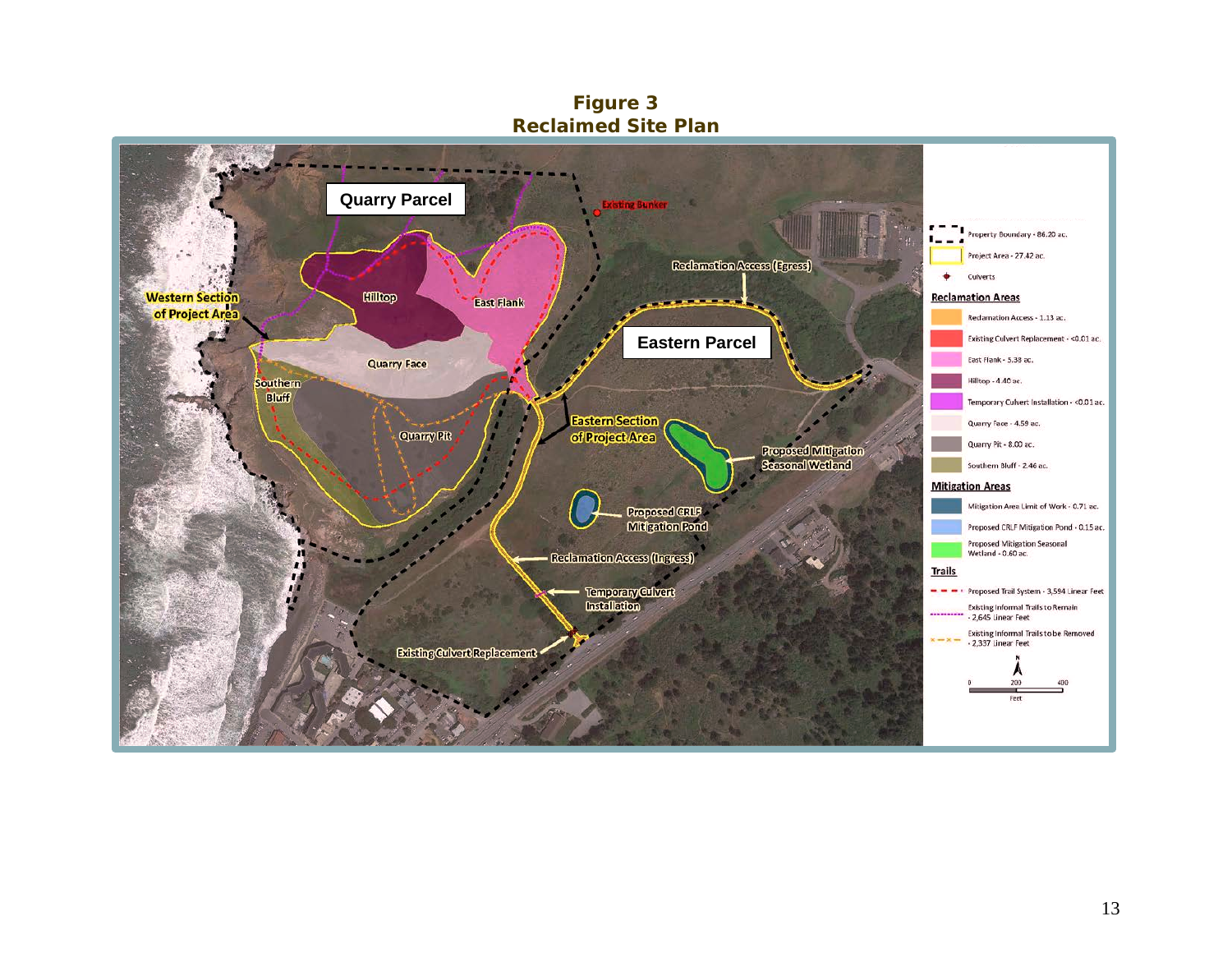

**Figure 3 Reclaimed Site Plan**